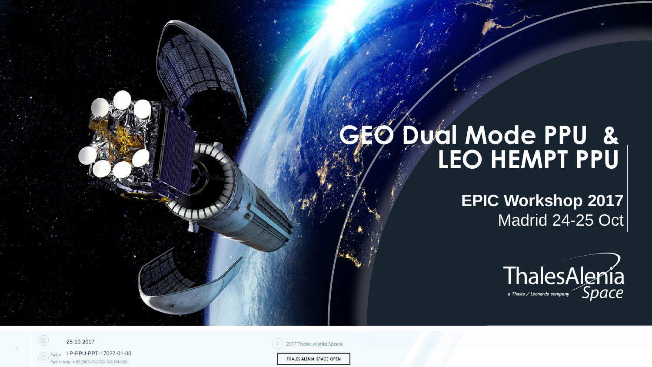# **GEO Dual Mode PPU & LEO HEMPT PPU**

**EPIC Workshop 2017** Madrid 24-25 Oct



25-10-2017 LP-PPU-PPT-17027-01-00 Model = 83230347-DOC-TAS-EN-005

1

2017 Thales Alenia Space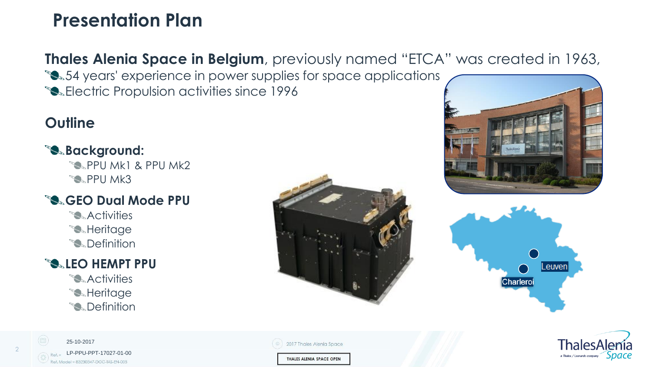## **Presentation Plan**

**Thales Alenia Space in Belgium**, previously named "ETCA" was created in 1963, **54 years' experience in power supplies for space applications** 

**Electric Propulsion activities since 1996** 

### **Outline**

### **Background:**

**PPU Mk1 & PPU Mk2 PPU Mk3** 

### **GEO Dual Mode PPU**

**SActivities S**Heritage **S** Definition

#### **LEO HEMPT PPU**

**SActivities S**Heritage **S** Definition









25-10-2017 LP-PPU-PPT-17027-01-00ef. Model = 83230347-DOC-TAS-EN-00.

2017 Thales Alenia Space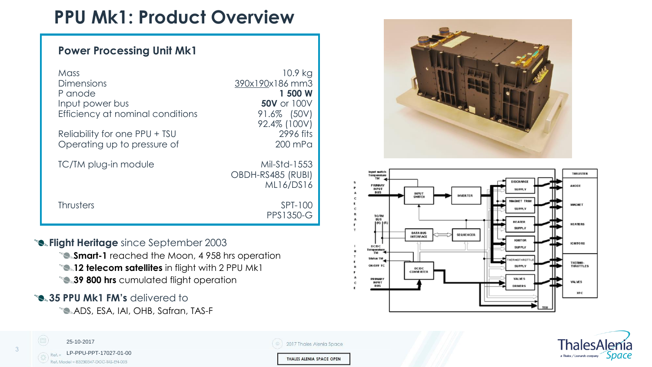## **PPU Mk1: Product Overview**

#### **Power Processing Unit Mk1**

| Mil-Std-1553<br>TC/TM plug-in module<br>OBDH-RS485 (RUBI)<br>ML16/DS16<br><b>Thrusters</b><br>SPT-100 | Mass<br>Dimensions<br>P anode<br>Input power bus<br>Efficiency at nominal conditions<br>Reliability for one PPU + TSU | 10.9 kg<br>390x190x186 mm3<br>1 500 W<br><b>50V</b> or 100V<br>91.6% (50V)<br>92.4% (100V)<br>2996 fits |
|-------------------------------------------------------------------------------------------------------|-----------------------------------------------------------------------------------------------------------------------|---------------------------------------------------------------------------------------------------------|
|                                                                                                       | Operating up to pressure of                                                                                           | 200 mPa                                                                                                 |

- **<sup>8</sup>. Flight Heritage** since September 2003
	- **Smart-1** reached the Moon, 4958 hrs operation
	- **12 telecom satellites** in flight with 2 PPU Mk1
	- **39 800 hrs** cumulated flight operation

#### **35 PPU Mk1 FM's delivered to**

**SADS, ESA, IAI, OHB, Safran, TAS-F** 









3

25-10-2017

2017 Thales Alenia Space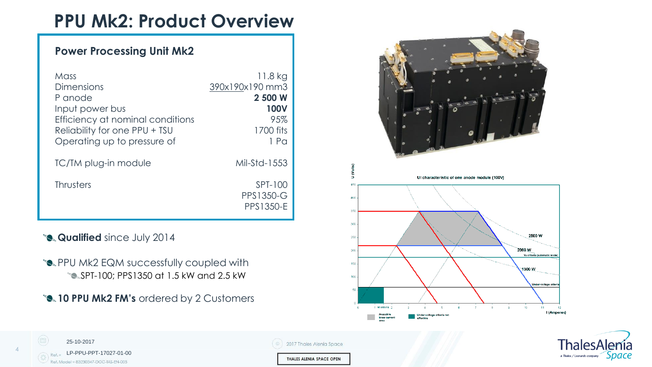## **PPU Mk2: Product Overview**

#### **Power Processing Unit Mk2**

| Mass<br>Dimensions<br>P anode<br>Input power bus<br>Efficiency at nominal conditions<br>Reliability for one PPU + TSU<br>Operating up to pressure of | 11.8 kg<br>390x190x190 mm3<br>2 500 W<br><b>100V</b><br>95%<br>1700 fits<br>$1$ Pa |
|------------------------------------------------------------------------------------------------------------------------------------------------------|------------------------------------------------------------------------------------|
| TC/TM plug-in module                                                                                                                                 | Mil-Std-1553                                                                       |
| <b>Thrusters</b>                                                                                                                                     | SPT-100<br><b>PPS1350-G</b><br>PPS1350-E                                           |

#### **Qualified** since July 2014

25-10-2017

LP-PPU-PPT-17027-01-00

Ref. Model = 83230347-DOC-TAS-EN-005

- **SALLACK PPU MK2 EQM successfully coupled with** SPT-100; PPS1350 at 1.5 kW and 2.5 kW
- **10 PPU Mk2 FM's** ordered by 2 Customers

2017 Thales Alenia Space

THALES ALENIA SPACE OPEN





4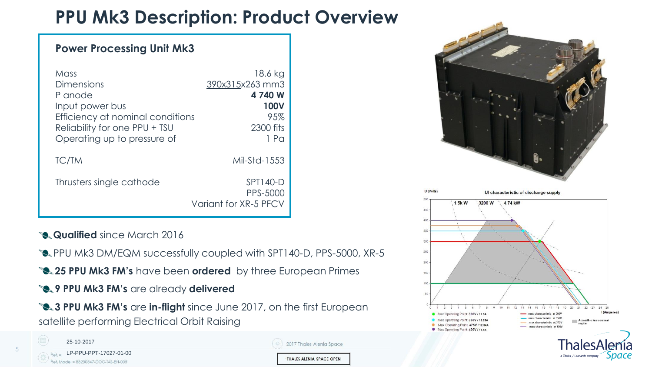## **PPU Mk3 Description: Product Overview**

| <b>Power Processing Unit Mk3</b>                                                                                                                     |                                                                                    |
|------------------------------------------------------------------------------------------------------------------------------------------------------|------------------------------------------------------------------------------------|
| Mass<br>Dimensions<br>P anode<br>Input power bus<br>Efficiency at nominal conditions<br>Reliability for one PPU + TSU<br>Operating up to pressure of | 18.6 kg<br>390x315x263 mm3<br>4 740 W<br><b>100V</b><br>95%<br>2300 fits<br>$1$ Pa |
| <b>TC/TM</b>                                                                                                                                         | Mil-Std-1553                                                                       |
| Thrusters single cathode                                                                                                                             | SPT140-D<br>PPS-5000<br>Variant for XR-5 PFCV                                      |

- **Qualified** since March 2016
- **PPU Mk3 DM/EQM successfully coupled with SPT140-D, PPS-5000, XR-5**
- **25 PPU Mk3 FM's** have been **ordered** by three European Primes
- **9 PPU Mk3 FM's are already delivered**

**3 PPU Mk3 FM's** are in-flight since June 2017, on the first European satellite performing Electrical Orbit Raising



5

| 2017 Thales Alenia Space |
|--------------------------|
| THALES ALENIA SPACE OPEN |



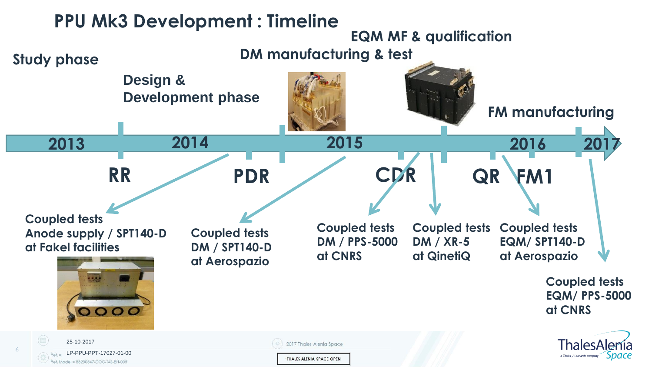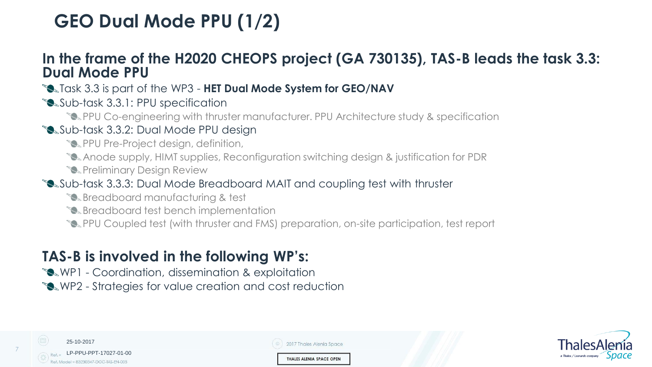## **GEO Dual Mode PPU (1/2)**

### **In the frame of the H2020 CHEOPS project (GA 730135), TAS-B leads the task 3.3: Dual Mode PPU**

Task 3.3 is part of the WP3 - **HET Dual Mode System for GEO/NAV**

Sub-task 3.3.1: PPU specification

PPU Co-engineering with thruster manufacturer. PPU Architecture study & specification

#### Sub-task 3.3.2: Dual Mode PPU design

- **PPU Pre-Project design, definition,**
- Anode supply, HIMT supplies, Reconfiguration switching design & justification for PDR
- **S**Preliminary Design Review

#### Sub-task 3.3.3: Dual Mode Breadboard MAIT and coupling test with thruster

- **Breadboard manufacturing & test**
- **Breadboard test bench implementation**
- PPU Coupled test (with thruster and FMS) preparation, on-site participation, test report

## **TAS-B is involved in the following WP's:**

WP1 - Coordination, dissemination & exploitation

WP2 - Strategies for value creation and cost reduction

| 25-10-2017                                                            | 2017 Thales Alenia Space |
|-----------------------------------------------------------------------|--------------------------|
| Ref. = LP-PPU-PPT-17027-01-00<br>Ref. Model = 83230347-DOC-TAS-EN-005 | THALES ALENIA SPACE OPEN |

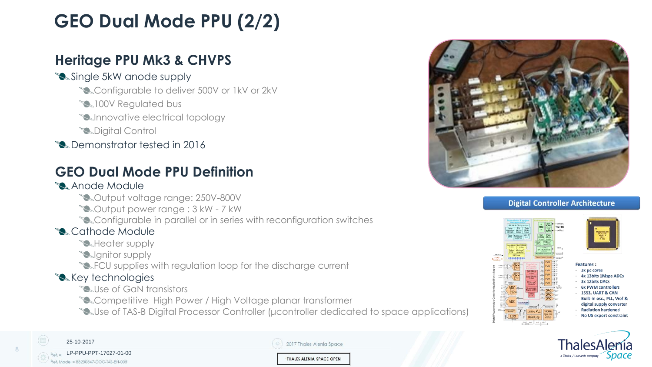## **GEO Dual Mode PPU (2/2)**

### **Heritage PPU Mk3 & CHVPS**

#### Single 5kW anode supply

- **Sand Configurable to deliver 500V or 1kV or 2kV**
- **100V Regulated bus**
- **Solnnovative electrical topology**
- **S**Digital Control
- **Demonstrator tested in 2016**

### **GEO Dual Mode PPU Definition**

#### **Anode Module**

- Output voltage range: 250V-800V
- Output power range : 3 kW 7 kW
- **Sand Configurable in parallel or in series with reconfiguration switches**

#### **S.** Cathode Module

- **Meater supply**
- **Solignitor supply**
- **SAFCU** supplies with regulation loop for the discharge current

#### **S** Key technologies

- **Sallse of GaN transistors**
- **SCompetitive High Power / High Voltage planar transformer**
- **Soluse of TAS-B Digital Processor Controller (μcontroller dedicated to space applications)**



#### **Digital Controller Architecture**





25-10-2017 LP-PPU-PPT-17027-01-00Ref. Model = 83230347-DOC-TAS-EN-005

8

| 2017 Thales Alenia Space |
|--------------------------|
| THALES ALENIA SPACE OPEN |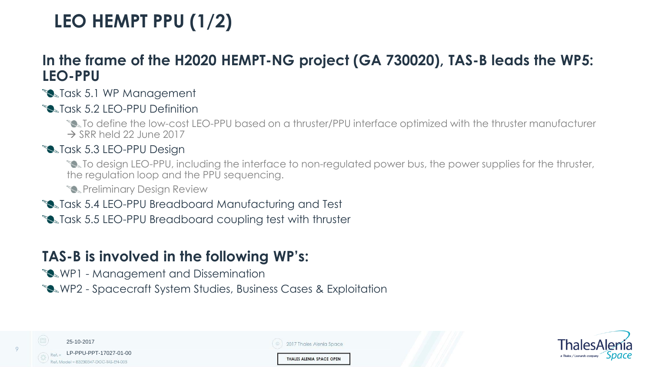## **LEO HEMPT PPU (1/2)**

### **In the frame of the H2020 HEMPT-NG project (GA 730020), TAS-B leads the WP5: LEO-PPU**

#### **S**Task 5.1 WP Management

**S**Task 5.2 LEO-PPU Definition

To define the low-cost LEO-PPU based on a thruster/PPU interface optimized with the thruster manufacturer  $\rightarrow$  SRR held 22 June 2017

#### **Salask 5.3 LEO-PPU Design**

To design LEO-PPU, including the interface to non-regulated power bus, the power supplies for the thruster, the regulation loop and the PPU sequencing.

**S**Preliminary Design Review

**Solution 5.4 LEO-PPU Breadboard Manufacturing and Test** 

**Solution 5.5 LEO-PPU Breadboard coupling test with thruster** 

### **TAS-B is involved in the following WP's:**

- **WP1** Management and Dissemination
- WP2 Spacecraft System Studies, Business Cases & Exploitation

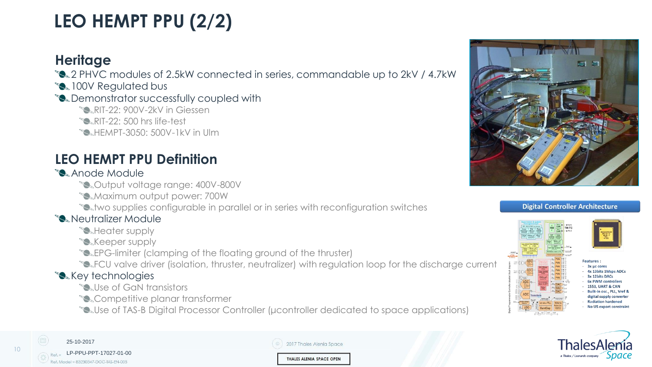## **LEO HEMPT PPU (2/2)**

### **Heritage**

**8.2 PHVC modules of 2.5kW connected in series, commandable up to 2kV / 4.7kW** 

**100V Regulated bus** 

#### **Demonstrator successfully coupled with**

- **RIT-22: 900V-2kV in Giessen**
- $\sum$ RIT-22: 500 hrs life-test
- **EMPT-3050: 500V-1kV in Ulm**

### **LEO HEMPT PPU Definition**

#### **S**Anode Module

- Output voltage range: 400V-800V
- **Maximum output power: 700W**
- **the supplies configurable in parallel or in series with reconfiguration switches**

#### **S** Neutralizer Module

- **Meater supply**
- **S** Keeper supply
- **EPG-limiter (clamping of the floating ground of the thruster)**
- **SAFCU valve driver (isolation, thruster, neutralizer) with regulation loop for the discharge current**

#### **S** Key technologies

- **Sallse of GaN transistors**
- **Competitive planar transformer**
- **SAUse of TAS-B Digital Processor Controller (μcontroller dedicated to space applications)**



#### **Digital Controller Architecture**







| 2017 Thales Alenia Space |
|--------------------------|
| THALES ALENIA SPACE OPEN |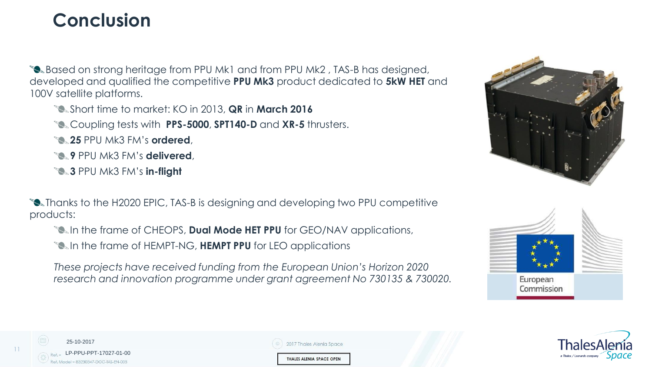## **Conclusion**

**Based on strong heritage from PPU Mk1 and from PPU Mk2, TAS-B has designed,** developed and qualified the competitive **PPU Mk3** product dedicated to **5kW HET** and 100V satellite platforms.

Short time to market: KO in 2013, **QR** in **March 2016**

Coupling tests with **PPS-5000**, **SPT140-D** and **XR-5** thrusters.

**25** PPU Mk3 FM's **ordered**,

**9** PPU Mk3 FM's **delivered**,

**3** PPU Mk3 FM's **in-flight**

**Thanks to the H2020 EPIC, TAS-B is designing and developing two PPU competitive** products:

**IF the frame of CHEOPS, Dual Mode HET PPU** for GEO/NAV applications,

**IN the frame of HEMPT-NG, HEMPT PPU** for LEO applications

*These projects have received funding from the European Union's Horizon 2020 research and innovation programme under grant agreement No 730135 & 730020.*







25-10-2017 LP-PPU-PPT-17027-01-00lodel = 83230347-DOC-TAS-EN-003

11

| 2017 Thales Alenia Space |  |
|--------------------------|--|
|                          |  |